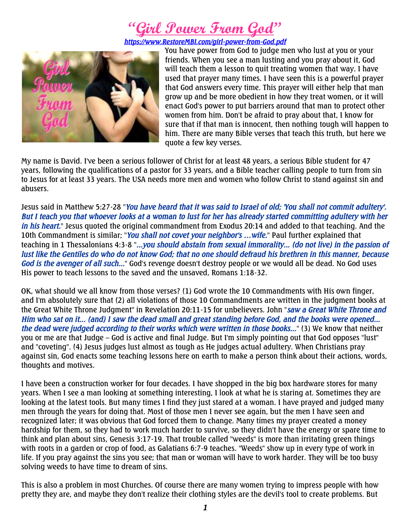## **"Girl Power From God"**

*[https://www.RestoreMBI.com/girl-power-from-God.pdf](https://www.restorembi.com/girl-power-from-God.pdf)*



You have power from God to judge men who lust at you or your friends. When you see a man lusting and you pray about it, God will teach them a lesson to quit treating women that way. I have used that prayer many times. I have seen this is a powerful prayer that God answers every time. This prayer will either help that man grow up and be more obedient in how they treat women, or it will enact God's power to put barriers around that man to protect other women from him. Don't be afraid to pray about that, I know for sure that if that man is innocent, then nothing tough will happen to him. There are many Bible verses that teach this truth, but here we quote a few key verses.

My name is David. I've been a serious follower of Christ for at least 48 years, a serious Bible student for 47 years, following the qualifications of a pastor for 33 years, and a Bible teacher calling people to turn from sin to Jesus for at least 33 years. The USA needs more men and women who follow Christ to stand against sin and abusers.

Jesus said in Matthew 5:27-28 "*You have heard that it was said to Israel of old; 'You shall not commit adultery'. But I teach you that whoever looks at a woman to lust for her has already started committing adultery with her in his heart.*" Jesus quoted the original commandment from Exodus 20:14 and added to that teaching. And the 10th Commandment is similar; "*You shall not covet your neighbor's …wife.*" Paul further explained that teaching in 1 Thessalonians 4:3-8 "*...you should abstain from sexual immorality... (do not live) in the passion of lust like the Gentiles do who do not know God; that no one should defraud his brethren in this manner, because God is the avenger of all such...*" God's revenge doesn't destroy people or we would all be dead. No God uses His power to teach lessons to the saved and the unsaved, Romans 1:18-32.

OK, what should we all know from those verses? (1) God wrote the 10 Commandments with His own finger, and I'm absolutely sure that (2) all violations of those 10 Commandments are written in the judgment books at the Great White Throne Judgment" in Revelation 20:11-15 for unbelievers. John "*saw a Great White Throne and Him who sat on it... (and) I saw the dead small and great standing before God, and the books were opened... the dead were judged according to their works which were written in those books...*" (3) We know that neither you or me are that Judge – God is active and final Judge. But I'm simply pointing out that God opposes "lust" and "coveting". (4) Jesus judges lust almost as tough as He judges actual adultery. When Christians pray against sin, God enacts some teaching lessons here on earth to make a person think about their actions, words, thoughts and motives.

I have been a construction worker for four decades. I have shopped in the big box hardware stores for many years. When I see a man looking at something interesting, I look at what he is staring at. Sometimes they are looking at the latest tools. But many times I find they just stared at a woman. I have prayed and judged many men through the years for doing that. Most of those men I never see again, but the men I have seen and recognized later; it was obvious that God forced them to change. Many times my prayer created a money hardship for them, so they had to work much harder to survive, so they didn't have the energy or spare time to think and plan about sins, Genesis 3:17-19. That trouble called "weeds" is more than irritating green things with roots in a garden or crop of food, as Galatians 6:7-9 teaches. "Weeds" show up in every type of work in life. If you pray against the sins you see; that man or woman will have to work harder. They will be too busy solving weeds to have time to dream of sins.

This is also a problem in most Churches. Of course there are many women trying to impress people with how pretty they are, and maybe they don't realize their clothing styles are the devil's tool to create problems. But